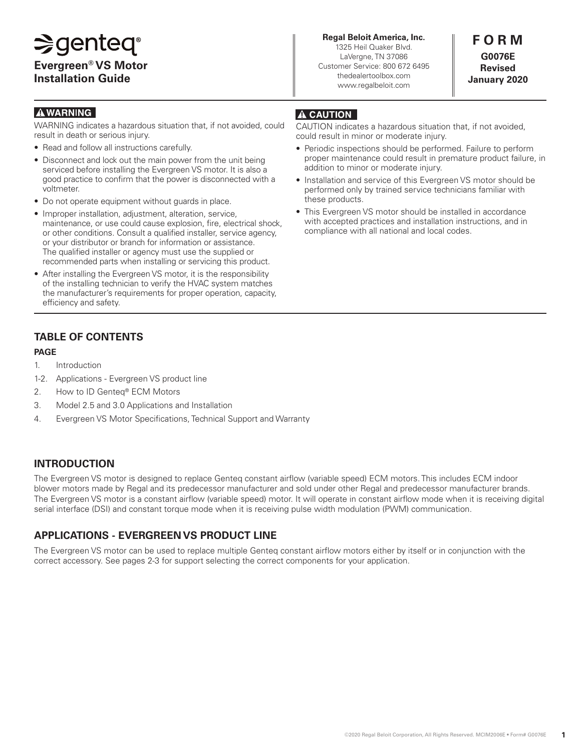# **⇒genteq**® **Evergreen® VS Motor Installation Guide**

## **A WARNING**

WARNING indicates a hazardous situation that, if not avoided, could result in death or serious injury.

- Read and follow all instructions carefully.
- Disconnect and lock out the main power from the unit being serviced before installing the Evergreen VS motor. It is also a good practice to confirm that the power is disconnected with a voltmeter.
- Do not operate equipment without guards in place.
- Improper installation, adjustment, alteration, service, maintenance, or use could cause explosion, fire, electrical shock, or other conditions. Consult a qualified installer, service agency, or your distributor or branch for information or assistance. The qualified installer or agency must use the supplied or recommended parts when installing or servicing this product.
- After installing the Evergreen VS motor, it is the responsibility of the installing technician to verify the HVAC system matches the manufacturer's requirements for proper operation, capacity, efficiency and safety.

**Regal Beloit America, Inc.** 1325 Heil Quaker Blvd. LaVergne, TN 37086 Customer Service: 800 672 6495 thedealertoolbox.com www.regalbeloit.com

**F O R M G0076E Revised January 2020**

## **A CAUTION**

CAUTION indicates a hazardous situation that, if not avoided, could result in minor or moderate injury.

- Periodic inspections should be performed. Failure to perform proper maintenance could result in premature product failure, in addition to minor or moderate injury.
- Installation and service of this Evergreen VS motor should be performed only by trained service technicians familiar with these products.
- This Evergreen VS motor should be installed in accordance with accepted practices and installation instructions, and in compliance with all national and local codes.

## **TABLE OF CONTENTS**

#### **PAGE**

- 1. Introduction
- 1-2. Applications Evergreen VS product line
- 2. How to ID Genteq® ECM Motors
- 3. Model 2.5 and 3.0 Applications and Installation
- 4. Evergreen VS Motor Specifications, Technical Support and Warranty

### **INTRODUCTION**

The Evergreen VS motor is designed to replace Genteq constant airflow (variable speed) ECM motors. This includes ECM indoor blower motors made by Regal and its predecessor manufacturer and sold under other Regal and predecessor manufacturer brands. The Evergreen VS motor is a constant airflow (variable speed) motor. It will operate in constant airflow mode when it is receiving digital serial interface (DSI) and constant torque mode when it is receiving pulse width modulation (PWM) communication.

## **APPLICATIONS - EVERGREEN VS PRODUCT LINE**

The Evergreen VS motor can be used to replace multiple Genteq constant airflow motors either by itself or in conjunction with the correct accessory. See pages 2-3 for support selecting the correct components for your application.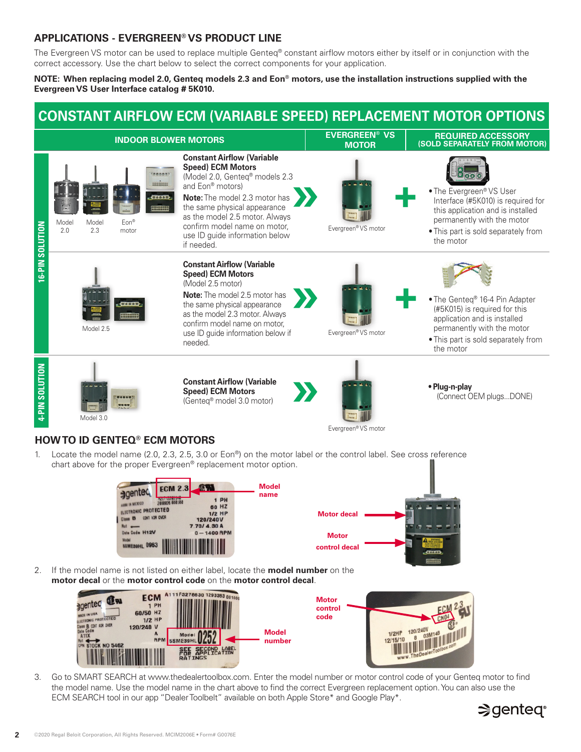## **APPLICATIONS - EVERGREEN® VS PRODUCT LINE**

The Evergreen VS motor can be used to replace multiple Genteq<sup>®</sup> constant airflow motors either by itself or in conjunction with the correct accessory. Use the chart below to select the correct components for your application.

#### **NOTE: When replacing model 2.0, Genteq models 2.3 and Eon® motors, use the installation instructions supplied with the Evergreen VS User Interface catalog # 5K010.**

#### **CONSTANT AIRFLOW ECM (VARIABLE SPEED) REPLACEMENT MOTOR OPTIONS INDOOR BLOWER MOTORS EVERGREEN® VS REQUIRED ACCESSORY (SOLD SEPARATELY FROM MOTOR) MOTOR Constant Airflow (Variable Speed) ECM Motors** deses) (Model 2.0, Genteq® models 2.3 **socioses** and Eon® motors) • The Evergreen® VS User **COOOD Note:** The model 2.3 motor has Interface (#5K010) is required for the same physical appearance this application and is installed as the model 2.5 motor. Always permanently with the motor Model Mode Eon® **IG-PIN SOLUTION 16-PIN SOLUTION** confirm model name on motor, Evergreen® VS motor 2.3 2.0 motor • This part is sold separately from use ID guide information below the motor if needed. **Constant Airflow (Variable Speed) ECM Motors** (Model 2.5 motor) **Note:** The model 2.5 motor has • The Genteq® 16-4 Pin Adapter the same physical appearance (#5K015) is required for this as the model 2.3 motor. Always application and is installed confirm model name on motor, permanently with the motor Model 2.5 use ID guide information below if Evergreen® VS motor • This part is sold separately from needed. the motor 4-PIN SOLUTION **4-PIN SOLUTION Constant Airflow (Variable • Plug-n-play Speed) ECM Motors**  (Connect OEM plugs...DONE) (Genteq® model 3.0 motor) Model 3.0 Evergreen® VS motor

## **HOW TO ID GENTEQ® ECM MOTORS**

1. Locate the model name (2.0, 2.3, 2.5, 3.0 or Eon®) on the motor label or the control label. See cross reference chart above for the proper Evergreen® replacement motor option.

| <b>Model</b><br>name<br><b>Motor decal</b><br><b>Motor</b><br>control decal |                  |
|-----------------------------------------------------------------------------|------------------|
|                                                                             | <b>PERMITTEN</b> |
|                                                                             |                  |

2. If the model name is not listed on either label, locate the **model number** on the **motor decal** or the **motor control code** on the **motor control decal**.



3. Go to SMART SEARCH at www.thedealertoolbox.com. Enter the model number or motor control code of your Genteq motor to find the model name. Use the model name in the chart above to find the correct Evergreen replacement option. You can also use the ECM SEARCH tool in our app "Dealer Toolbelt" available on both Apple Store\* and Google Play\*.

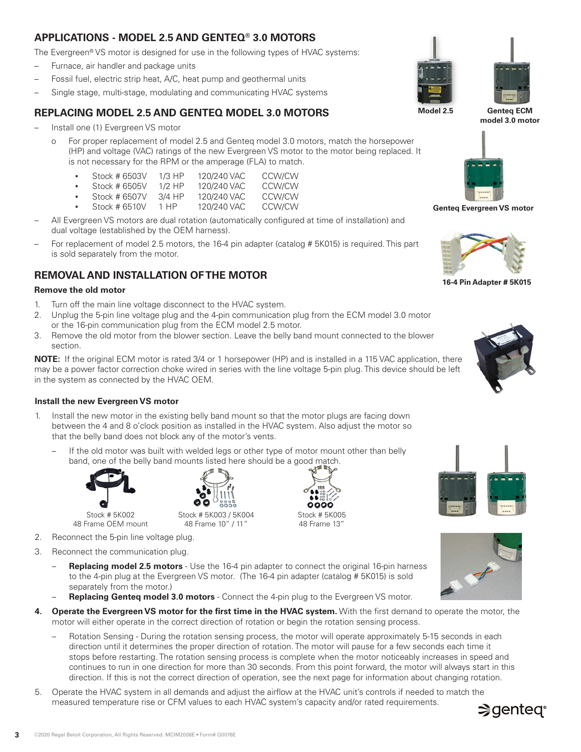## **APPLICATIONS - MODEL 2.5 AND GENTEQ® 3.0 MOTORS**

The Evergreen® VS motor is designed for use in the following types of HVAC systems:

- Furnace, air handler and package units
- Fossil fuel, electric strip heat, A/C, heat pump and geothermal units
- Single stage, multi-stage, modulating and communicating HVAC systems

## **REPLACING MODEL 2.5 AND GENTEQ MODEL 3.0 MOTORS**

- Install one (1) Evergreen VS motor
	- o For proper replacement of model 2.5 and Genteq model 3.0 motors, match the horsepower (HP) and voltage (VAC) ratings of the new Evergreen VS motor to the motor being replaced. It is not necessary for the RPM or the amperage (FLA) to match.

| ٠. | Stock # 6503V    | $1/3$ HP | 120/240 VAC | CCW/CW |
|----|------------------|----------|-------------|--------|
| ۰. | Stock $\#$ 6505V | $1/2$ HP | 120/240 VAC | CCW/CW |
| ۰. | Stock # 6507V    | 3/4 HP   | 120/240 VAC | CCW/CW |
| ۰. | Stock # 6510V    | 1 HP     | 120/240 VAC | CCW/CW |

- All Evergreen VS motors are dual rotation (automatically configured at time of installation) and dual voltage (established by the OEM harness).
- For replacement of model 2.5 motors, the 16-4 pin adapter (catalog # 5K015) is required. This part is sold separately from the motor.

## **REMOVAL AND INSTALLATION OF THE MOTOR**

## **Remove the old motor**

- 1. Turn off the main line voltage disconnect to the HVAC system.
- 2. Unplug the 5-pin line voltage plug and the 4-pin communication plug from the ECM model 3.0 motor or the 16-pin communication plug from the ECM model 2.5 motor.
- 3. Remove the old motor from the blower section. Leave the belly band mount connected to the blower section.

**NOTE:** If the original ECM motor is rated 3/4 or 1 horsepower (HP) and is installed in a 115 VAC application, there may be a power factor correction choke wired in series with the line voltage 5-pin plug. This device should be left in the system as connected by the HVAC OEM.

## **Install the new Evergreen VS motor**

- 1. Install the new motor in the existing belly band mount so that the motor plugs are facing down between the 4 and 8 o'clock position as installed in the HVAC system. Also adjust the motor so that the belly band does not block any of the motor's vents.
	- If the old motor was built with welded legs or other type of motor mount other than belly band, one of the belly band mounts listed here should be a good match.

Stock # 5K003 / 5K004 48 Frame 10" / 11"



Stock # 5K002 48 Frame OEM mount



- 3. Reconnect the communication plug.
	- **Replacing model 2.5 motors** Use the 16-4 pin adapter to connect the original 16-pin harness to the 4-pin plug at the Evergreen VS motor. (The 16-4 pin adapter (catalog # 5K015) is sold separately from the motor.)
	- **Replacing Genteq model 3.0 motors** Connect the 4-pin plug to the Evergreen VS motor.
- **4. Operate the Evergreen VS motor for the first time in the HVAC system.** With the first demand to operate the motor, the motor will either operate in the correct direction of rotation or begin the rotation sensing process.

Stock # 5K005 48 Frame 13"

- Rotation Sensing During the rotation sensing process, the motor will operate approximately 5-15 seconds in each direction until it determines the proper direction of rotation. The motor will pause for a few seconds each time it stops before restarting. The rotation sensing process is complete when the motor noticeably increases in speed and continues to run in one direction for more than 30 seconds. From this point forward, the motor will always start in this direction. If this is not the correct direction of operation, see the next page for information about changing rotation.
- 5. Operate the HVAC system in all demands and adjust the airflow at the HVAC unit's controls if needed to match the measured temperature rise or CFM values to each HVAC system's capacity and/or rated requirements.





**Model 2.5 Genteq ECM model 3.0 motor**



**Genteq Evergreen VS motor**



**16-4 Pin Adapter # 5K015**